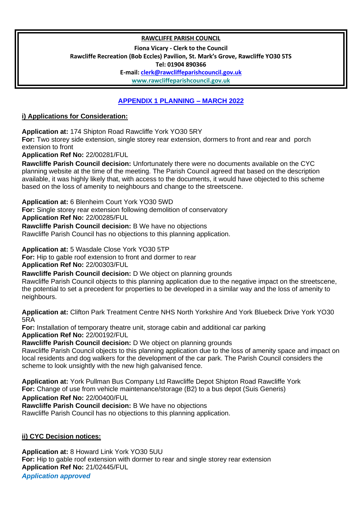## **RAWCLIFFE PARISH COUNCIL**

**Fiona Vicary - Clerk to the Council**

**Rawcliffe Recreation (Bob Eccles) Pavilion, St. Mark's Grove, Rawcliffe YO30 5TS** 

**Tel: 01904 890366**

**E-mail: clerk@rawcliffeparishcouncil.gov.uk**

**www.rawcliffeparishcouncil.gov.uk**

## **APPENDIX 1 PLANNING – MARCH 2022**

## **i) Applications for Consideration:**

**Application at:** 174 Shipton Road Rawcliffe York YO30 5RY

**For:** Two storey side extension, single storey rear extension, dormers to front and rear and porch extension to front

**Application Ref No:** 22/00281/FUL

**Rawcliffe Parish Council decision:** Unfortunately there were no documents available on the CYC planning website at the time of the meeting. The Parish Council agreed that based on the description available, it was highly likely that, with access to the documents, it would have objected to this scheme based on the loss of amenity to neighbours and change to the streetscene.

**Application at:** 6 Blenheim Court York YO30 5WD

**For:** Single storey rear extension following demolition of conservatory **Application Ref No:** 22/00285/FUL

**Rawcliffe Parish Council decision:** B We have no objections

Rawcliffe Parish Council has no objections to this planning application.

**Application at:** 5 Wasdale Close York YO30 5TP

**For:** Hip to gable roof extension to front and dormer to rear

**Application Ref No:** 22/00303/FUL

**Rawcliffe Parish Council decision:** D We object on planning grounds

Rawcliffe Parish Council objects to this planning application due to the negative impact on the streetscene, the potential to set a precedent for properties to be developed in a similar way and the loss of amenity to neighbours.

**Application at:** Clifton Park Treatment Centre NHS North Yorkshire And York Bluebeck Drive York YO30 5RA

**For:** Installation of temporary theatre unit, storage cabin and additional car parking **Application Ref No:** 22/00192/FUL

**Rawcliffe Parish Council decision:** D We object on planning grounds

Rawcliffe Parish Council objects to this planning application due to the loss of amenity space and impact on local residents and dog walkers for the development of the car park. The Parish Council considers the scheme to look unsightly with the new high galvanised fence.

**Application at:** York Pullman Bus Company Ltd Rawcliffe Depot Shipton Road Rawcliffe York **For:** Change of use from vehicle maintenance/storage (B2) to a bus depot (Suis Generis)

**Application Ref No:** 22/00400/FUL

**Rawcliffe Parish Council decision:** B We have no objections

Rawcliffe Parish Council has no objections to this planning application.

## **ii) CYC Decision notices:**

**Application at:** 8 Howard Link York YO30 5UU **For:** Hip to gable roof extension with dormer to rear and single storey rear extension **Application Ref No:** 21/02445/FUL *Application approved*